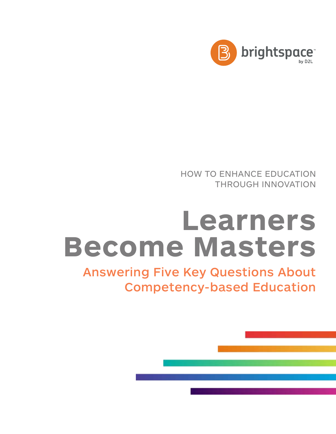

HOW TO ENHANCE EDUCATION THROUGH INNOVATION

## **Learners Become Masters**

Answering Five Key Questions About Competency-based Education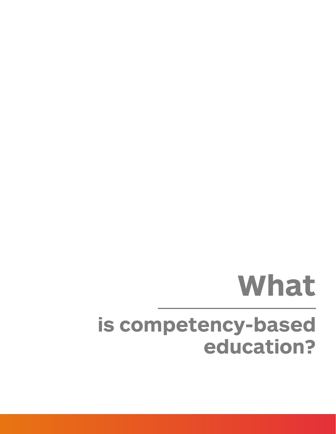## **is competency-based education? What**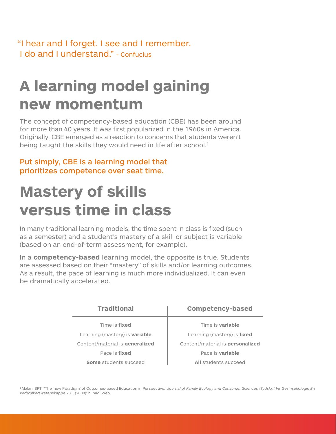"I hear and I forget. I see and I remember. I do and I understand." - Confucius

### **A learning model gaining new momentum**

The concept of competency-based education (CBE) has been around for more than 40 years. It was first popularized in the 1960s in America. Originally, CBE emerged as a reaction to concerns that students weren't being taught the skills they would need in life after school.<sup>1</sup>

#### Put simply, CBE is a learning model that prioritizes competence over seat time.

### **Mastery of skills versus time in class**

In many traditional learning models, the time spent in class is fixed (such as a semester) and a student's mastery of a skill or subject is variable (based on an end-of-term assessment, for example).

In a **competency-based** learning model, the opposite is true. Students are assessed based on their "mastery" of skills and/or learning outcomes. As a result, the pace of learning is much more individualized. It can even be dramatically accelerated.

| <b>Traditional</b>                    |            |
|---------------------------------------|------------|
| Time is fixed                         |            |
| Learning (mastery) is <b>variable</b> | $\epsilon$ |
| Content/material is generalized       | Conte      |
| Pace is <b>fixed</b>                  |            |
| <b>Some</b> students succeed          |            |

#### **Competency-based**

Time is **variable** Learning (mastery) is **fixed** ent/material is **personalized** Pace is **variable All** students succeed

<sup>1</sup> Malan, SPT. "The 'new Paradigm' of Outcomes-based Education in Perspective." Journal of Family Ecology and Consumer Sciences /Tydskrif Vir Gesinsekologie En *[Verbruikerswetenskappe](http://www.ajol.info/index.php/jfecs/article/viewFile/52788/41390)* 28.1 (2000): n. pag. Web.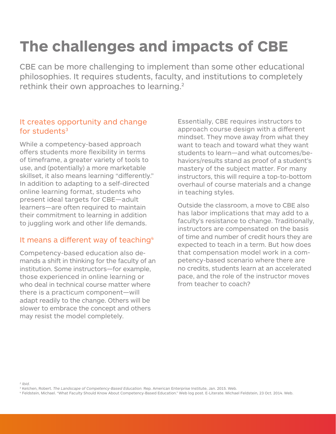## **The challenges and impacts of CBE**

CBE can be more challenging to implement than some other educational philosophies. It requires students, faculty, and institutions to completely rethink their own approaches to learning.<sup>2</sup>

#### It creates opportunity and change for students<sup>3</sup>

While a competency-based approach offers students more flexibility in terms of timeframe, a greater variety of tools to use, and (potentially) a more marketable skillset, it also means learning "differently." In addition to adapting to a self-directed online learning format, students who present ideal targets for CBE—adult learners—are often required to maintain their commitment to learning in addition to juggling work and other life demands.

#### It means a different way of teaching<sup>4</sup>

Competency-based education also demands a shift in thinking for the faculty of an institution. Some instructors—for example, those experienced in online learning or who deal in technical course matter where there is a practicum component—will adapt readily to the change. Others will be slower to embrace the concept and others may resist the model completely.

Essentially, CBE requires instructors to approach course design with a different mindset. They move away from what they want to teach and toward what they want students to learn—and what outcomes/behaviors/results stand as proof of a student's mastery of the subject matter. For many instructors, this will require a top-to-bottom overhaul of course materials and a change in teaching styles.

Outside the classroom, a move to CBE also has labor implications that may add to a faculty's resistance to change. Traditionally, instructors are compensated on the basis of time and number of credit hours they are expected to teach in a term. But how does that compensation model work in a competency-based scenario where there are no credits, students learn at an accelerated pace, and the role of the instructor moves from teacher to coach?

*2 Ibid.*

<sup>&</sup>lt;sup>3</sup> Kelchen, Robert. *The Landscape of Competency-Based Education*. Rep. American Enterprise Institute, Jan. 2015. Web.<br><sup>4</sup> Feldstein, Michael. "What Faculty Should Know About Competency-Based Education." Web log post. E-L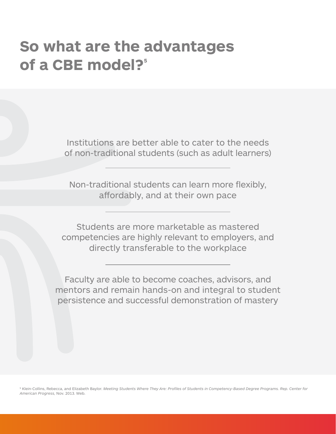### **So what are the advantages**  of a CBE model?<sup>5</sup>

Institutions are better able to cater to the needs of non-traditional students (such as adult learners)

Non-traditional students can learn more flexibly, affordably, and at their own pace

Students are more marketable as mastered competencies are highly relevant to employers, and directly transferable to the workplace

Faculty are able to become coaches, advisors, and mentors and remain hands-on and integral to student persistence and successful demonstration of mastery

5 Klein-Collins, Rebecca, and Elizabeth Baylor. *[Meeting Students Where They Are: Profiles of Students in Competency-Based Degree Programs. Rep. Center for](https://www.americanprogress.org/wp-content/uploads/2013/11/CAEL-student-report-corrected.pdf)  [American Progress,](https://www.americanprogress.org/wp-content/uploads/2013/11/CAEL-student-report-corrected.pdf)* Nov. 2013. Web.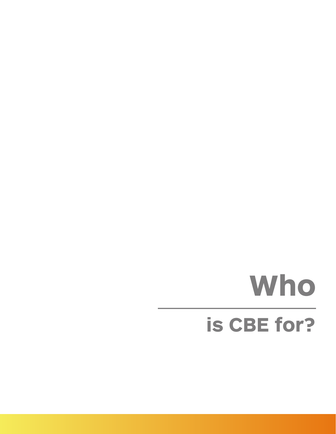# **Who is CBE for?**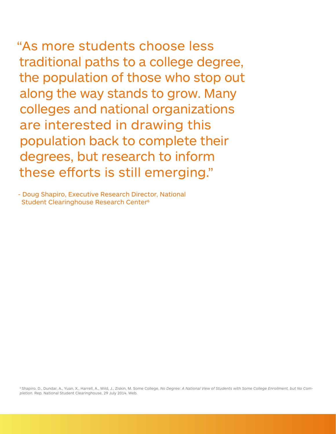"As more students choose less traditional paths to a college degree, the population of those who stop out along the way stands to grow. Many colleges and national organizations are interested in drawing this population back to complete their degrees, but research to inform these efforts is still emerging."

- Doug Shapiro, Executive Research Director, National Student Clearinghouse Research Center<sup>6</sup>

<sup>6</sup> Shapiro, D., Dundar, A., Yuan, X., Harrell, A., Wild, J., Ziskin, M. Some College, [No Degree: A National View of Students with Some College Enrollment, but No Com](http://nscresearchcenter.org/wp-content/uploads/NSC_Signature_Report_7.pdf)*pletion.* [Rep. National Student Clearinghouse, 29 July 2014. Web.](http://nscresearchcenter.org/wp-content/uploads/NSC_Signature_Report_7.pdf)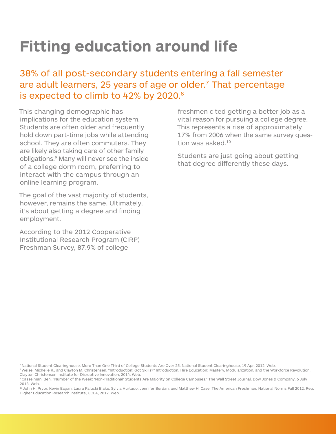### **Fitting education around life**

#### 38% of all post-secondary students entering a fall semester are adult learners, 25 years of age or older.<sup>7</sup> That percentage is expected to climb to 42% by 2020.<sup>8</sup>

This changing demographic has implications for the education system. Students are often older and frequently hold down part-time jobs while attending school. They are often commuters. They are likely also taking care of other family obligations.9 Many will never see the inside of a college dorm room, preferring to interact with the campus through an online learning program.

The goal of the vast majority of students, however, remains the same. Ultimately, it's about getting a degree and finding employment.

According to the 2012 Cooperative Institutional Research Program (CIRP) Freshman Survey, 87.9% of college

freshmen cited getting a better job as a vital reason for pursuing a college degree. This represents a rise of approximately 17% from 2006 when the same survey question was asked.10

Students are just going about getting that degree differently these days.

[7 National Student Clearinghouse. More Than One Third of College Students Are Over 25. National Student Clearinghouse, 19 Apr. 2012. Web.](http://www.studentclearinghouse.org/about/media_center/press_releases/files/release_2012-04-19.pdf)

<sup>8</sup> Weise, Michelle R., and Clayton M. Christensen. "Introduction: Got Skills?" Introduction. Hire Education: Mastery, Modularization, and the Workforce Revolution. [Clayton Christensen Institute for Disruptive Innovation, 2014. Web.](http://www.christenseninstitute.org/publications/hire/)

[9 Casselman, Ben. "Number of the Week: 'Non-Traditional' Students Are Majority on College Campuses." The Wall Street Journal. Dow Jones & Company, 6 July](http://blogs.wsj.com/economics/2013/07/06/number-of-the-week-non-traditional-students-are-majority-on-college-campuses/)  [2013. Web.](http://blogs.wsj.com/economics/2013/07/06/number-of-the-week-non-traditional-students-are-majority-on-college-campuses/) 

10 John H. Pryor, Kevin Eagan, Laura Palucki Blake, Sylvia Hurtado, Jennifer Berdan, and Matthew H. Case. The American Freshman: National Norms Fall 2012. Rep. [Higher Education Research Institute, UCLA, 2012. Web.](http://www.heri.ucla.edu/monographs/theamericanfreshman2012.pdf)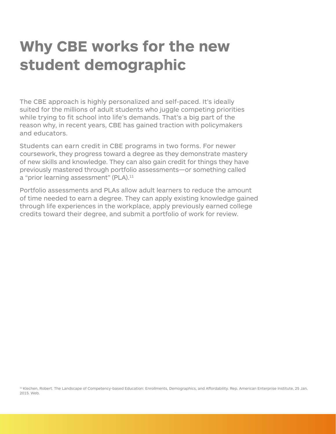### **Why CBE works for the new student demographic**

The CBE approach is highly personalized and self-paced. It's ideally suited for the millions of adult students who juggle competing priorities while trying to fit school into life's demands. That's a big part of the reason why, in recent years, CBE has gained traction with policymakers and educators.

Students can earn credit in CBE programs in two forms. For newer coursework, they progress toward a degree as they demonstrate mastery of new skills and knowledge. They can also gain credit for things they have previously mastered through portfolio assessments—or something called a "prior learning assessment" (PLA).<sup>11</sup>

Portfolio assessments and PLAs allow adult learners to reduce the amount of time needed to earn a degree. They can apply existing knowledge gained through life experiences in the workplace, apply previously earned college credits toward their degree, and submit a portfolio of work for review.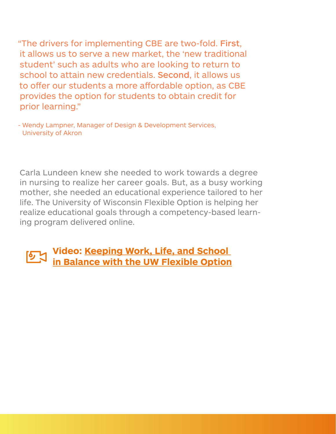"The drivers for implementing CBE are two-fold. First, it allows us to serve a new market, the 'new traditional student' such as adults who are looking to return to school to attain new credentials. Second, it allows us to offer our students a more affordable option, as CBE provides the option for students to obtain credit for prior learning."

- Wendy Lampner, Manager of Design & Development Services, University of Akron

Carla Lundeen knew she needed to work towards a degree in nursing to realize her career goals. But, as a busy working mother, she needed an educational experience tailored to her life. The University of Wisconsin Flexible Option is helping her realize educational goals through a competency-based learning program delivered online.

### **[Video: Keeping Work, Life, and School](https://www.youtube.com/watch%3Fv%3D22JrFfv-TAs%26feature%3Dyoutu.be)  [in Balance with the UW Flexible Option](https://www.youtube.com/watch%3Fv%3D22JrFfv-TAs%26feature%3Dyoutu.be)**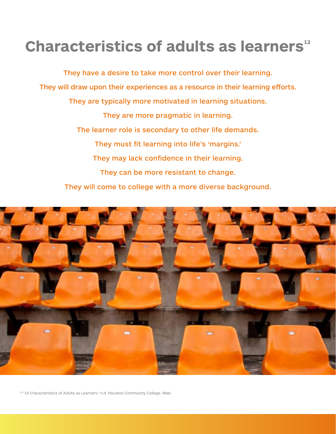### **Characteristics of adults as learners**<sup>12</sup>

They have a desire to take more control over their learning. They will draw upon their experiences as a resource in their learning efforts. They are typically more motivated in learning situations. They are more pragmatic in learning. The learner role is secondary to other life demands. They must fit learning into life's 'margins.' They may lack confidence in their learning. They can be more resistant to change. They will come to college with a more diverse background.



<sup>12</sup> "10 Characteristics of Adults as Learners." n.d. Houston Community College. Web.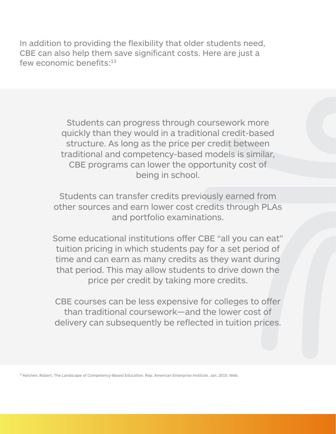In addition to providing the flexibility that older students need, CBE can also help them save significant costs. Here are just a few economic benefits:<sup>13</sup>

> Students can progress through coursework more quickly than they would in a traditional credit-based structure. As long as the price per credit between traditional and competency-based models is similar, CBE programs can lower the opportunity cost of being in school.

Students can transfer credits previously earned from other sources and earn lower cost credits through PLAs and portfolio examinations.

Some educational institutions offer CBE "all you can eat" tuition pricing in which students pay for a set period of time and can earn as many credits as they want during that period. This may allow students to drive down the price per credit by taking more credits.

CBE courses can be less expensive for colleges to offer than traditional coursework—and the lower cost of delivery can subsequently be reflected in tuition prices.

[13 Kelchen, Robert. The Landscape of Competency-Based Education. Rep. American Enterprise Institute, Jan. 2015. Web.](https://www.aei.org/wp-content/uploads/2015/01/Landscape-of-CBE.pdf)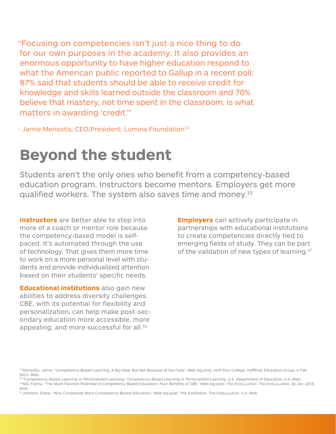"Focusing on competencies isn't just a nice thing to do for our own purposes in the academy. It also provides an enormous opportunity to have higher education respond to what the American public reported to Gallup in a recent poll: 87% said that students should be able to receive credit for knowledge and skills learned outside the classroom and 70% believe that mastery, not time spent in the classroom, is what matters in awarding 'credit.'"

- Jamie Merisotis, CEO/President, Lumina Foundation<sup>14</sup>

### **Beyond the student**

Students aren't the only ones who benefit from a competency-based education program. Instructors become mentors. Employers get more qualified workers. The system also saves time and money.15

**Instructors** are better able to step into more of a coach or mentor role because the competency-based model is selfpaced. It's automated through the use of technology. That gives them more time to work on a more personal level with students and provide individualized attention based on their students' specific needs.

**Educational institutions** also gain new abilities to address diversity challenges. CBE, with its potential for flexibility and personalization, can help make post-secondary education more accessible, more appealing, and more successful for all.<sup>16</sup>

**Employers** can actively participate in partnerships with educational institutions to create competencies directly tied to emerging fields of study. They can be part of the validation of new types of learning.<sup>17</sup>

[17 Johnson, Diane. "Why Companies Want Competency-Based Education." Web log post. The Evolllution. The EvoLLLution, n.d. Web.](http://www.evolllution.com/program_planning/why-companies-want-competency-based-education/)

[<sup>14</sup> Merisotis, Jamie. "Competency-Based Learning: A Big Deal, But Not Because of the Feds." Web log post.](http://www.huffingtonpost.com/jamie-merisotis/competencybased-learning-_b_2994751.html) *Huff Post College.* HuffPost Education Group, 6 Feb. 2013. Web.<br><sup>15</sup> "Competency-Based Learning or Personalized Learning." Competency-Based Learning or Personalized Learning. U.S. Department of Education, n.d. Web.

<sup>&</sup>lt;sup>16</sup> Mili, Fatma. "The Multi-Faceted Potential of Competency Based Education: Four Benefits of CBE." Web log post. The EvoLLLution. The EvoLLLution, 30 Jan. 2015. [Web.](http://www.evolllution.com/opinions/multi-faceted-potential-competency-based-education-benefits-cbe)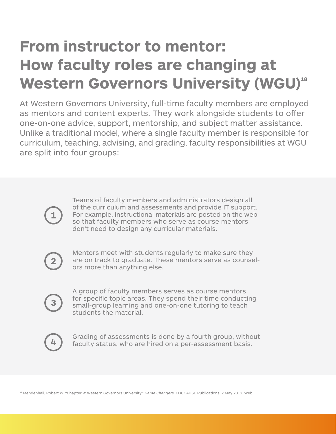### **From instructor to mentor: How faculty roles are changing at Western Governors University (WGU)18**

At Western Governors University, full-time faculty members are employed as mentors and content experts. They work alongside students to offer one-on-one advice, support, mentorship, and subject matter assistance. Unlike a traditional model, where a single faculty member is responsible for curriculum, teaching, advising, and grading, faculty responsibilities at WGU are split into four groups:

 $\mathbf{1}$ 

Teams of faculty members and administrators design all of the curriculum and assessments and provide IT support. For example, instructional materials are posted on the web so that faculty members who serve as course mentors don't need to design any curricular materials.



Mentors meet with students regularly to make sure they are on track to graduate. These mentors serve as counselors more than anything else.

A group of faculty members serves as course mentors for specific topic areas. They spend their time conducting small-group learning and one-on-one tutoring to teach students the material.



Grading of assessments is done by a fourth group, without faculty status, who are hired on a per-assessment basis.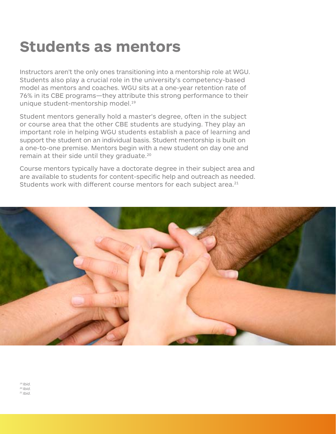### **Students as mentors**

Instructors aren't the only ones transitioning into a mentorship role at WGU. Students also play a crucial role in the university's competency-based model as mentors and coaches. WGU sits at a one-year retention rate of 76% in its CBE programs—they attribute this strong performance to their unique student-mentorship model.19

Student mentors generally hold a master's degree, often in the subject or course area that the other CBE students are studying. They play an important role in helping WGU students establish a pace of learning and support the student on an individual basis. Student mentorship is built on a one-to-one premise. Mentors begin with a new student on day one and remain at their side until they graduate.<sup>20</sup>

Course mentors typically have a doctorate degree in their subject area and are available to students for content-specific help and outreach as needed. Students work with different course mentors for each subject area.<sup>21</sup>

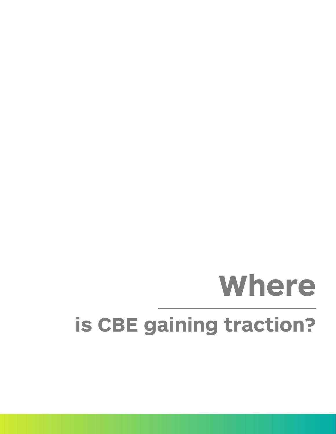# **is CBE gaining traction? Where**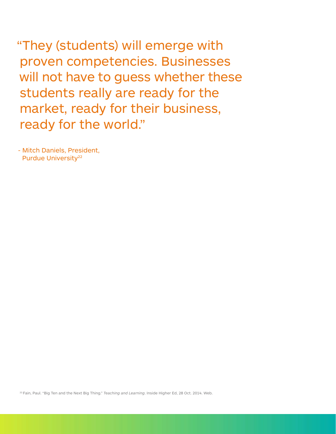"They (students) will emerge with proven competencies. Businesses will not have to guess whether these students really are ready for the market, ready for their business, ready for the world."

- Mitch Daniels, President, Purdue University<sup>22</sup>

[22 Fain, Paul. "Big Ten and the Next Big Thing."](https://www.insidehighered.com/news/2014/10/28/competency-based-education-arrives-three-major-public-institutions) *Teaching and Learning*. Inside Higher Ed, 28 Oct. 2014. Web.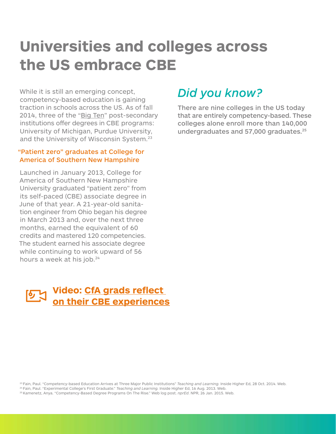### **Universities and colleges across the US embrace CBE**

While it is still an emerging concept, competency-based education is gaining traction in schools across the US. As of fall 2014, three of the ["Big Ten"](http://www.go4ivy.com/colleges/big-ten-universities) post-secondary institutions offer degrees in CBE programs: University of Michigan, Purdue University, and the University of Wisconsin System.<sup>23</sup>

#### "Patient zero" graduates at College for America of Southern New Hampshire

Launched in January 2013, College for America of Southern New Hampshire University graduated "patient zero" from its self-paced (CBE) associate degree in June of that year. A 21-year-old sanitation engineer from Ohio began his degree in March 2013 and, over the next three months, earned the equivalent of 60 credits and mastered 120 competencies. The student earned his associate degree while continuing to work upward of 56 hours a week at his job.<sup>24</sup>

### **[Video: CfA grads reflect](https://www.youtube.com/watch?v=C11XsiII6Aw)  [on their CBE experiences](https://www.youtube.com/watch?v=C11XsiII6Aw)**

### *Did you know?*

There are nine colleges in the US today that are entirely competency-based. These colleges alone enroll more than 140,000 undergraduates and 57,000 graduates.<sup>25</sup>

[23 Fain, Paul. "Competency-based Education Arrives at Three Major Public Institutions"](https://www.insidehighered.com/news/2014/10/28/competency-based-education-arrives-three-major-public-institutions) *Teaching and Learning.* Inside Higher Ed, 28 Oct. 2014. Web. <sup>24</sup> Fain, Paul. "Experimental College's First Graduate." *Teaching and Learning.* Inside Higher Ed, 16 Aug. 2013. Web.<br><sup>25</sup> Kamenetz, Anya. "Competency-Based Degree Programs On The Rise." Web log post. *nprEd*. NPR, 26 Ja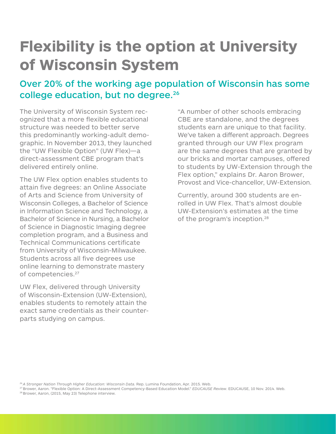### **Flexibility is the option at University of Wisconsin System**

### Over 20% of the working age population of Wisconsin has some college education, but no degree.<sup>26</sup>

The University of Wisconsin System recognized that a more flexible educational structure was needed to better serve this predominantly working-adult demographic. In November 2013, they launched the "UW Flexible Option" (UW Flex)—a direct-assessment CBE program that's delivered entirely online.

The UW Flex option enables students to attain five degrees: an Online Associate of Arts and Science from University of Wisconsin Colleges, a Bachelor of Science in Information Science and Technology, a Bachelor of Science in Nursing, a Bachelor of Science in Diagnostic Imaging degree completion program, and a Business and Technical Communications certificate from University of Wisconsin-Milwaukee. Students across all five degrees use online learning to demonstrate mastery of competencies.27

UW Flex, delivered through University of Wisconsin-Extension (UW-Extension), enables students to remotely attain the exact same credentials as their counterparts studying on campus.

"A number of other schools embracing CBE are standalone, and the degrees students earn are unique to that facility. We've taken a different approach. Degrees granted through our UW Flex program are the same degrees that are granted by our bricks and mortar campuses, offered to students by UW-Extension through the Flex option," explains Dr. Aaron Brower, Provost and Vice-chancellor, UW-Extension.

Currently, around 300 students are enrolled in UW Flex. That's almost double UW-Extension's estimates at the time of the program's inception.<sup>28</sup>

*[26 A Stronger Nation Through Higher Education: Wisconsin Data.](http://strongernation.luminafoundation.org/report/downloads/pdfs/wisconsin-brief-2015.pdf)* Rep. Lumina Foundation, Apr. 2015. Web.

<sup>27</sup> Brower, Aaron. "Flexible Option: A Direct-Assessment Competency-Based Education Model." *EDUCAUSE Review*. EDUCAUSE, 10 Nov. 2014. Web.<br><sup>28</sup> Brower, Aaron, (2015, May 23) Telephone interview.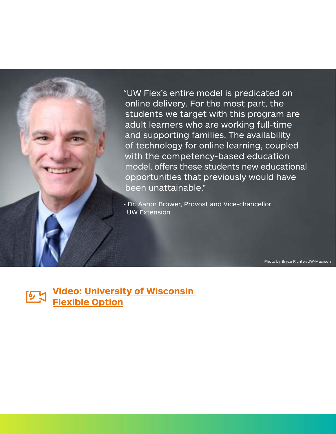"UW Flex's entire model is predicated on online delivery. For the most part, the students we target with this program are adult learners who are working full-time and supporting families. The availability of technology for online learning, coupled with the competency-based education model, offers these students new educational opportunities that previously would have been unattainable."

- Dr. Aaron Brower, Provost and Vice-chancellor, UW Extension

Photo by Bryce Richter/UW-Madison

**[Video: University of Wisconsin](http://www.brightspace.com/resources/video/view/1_tm8az7jc/)**  区 **[Flexible Option](http://www.brightspace.com/resources/video/view/1_tm8az7jc/)**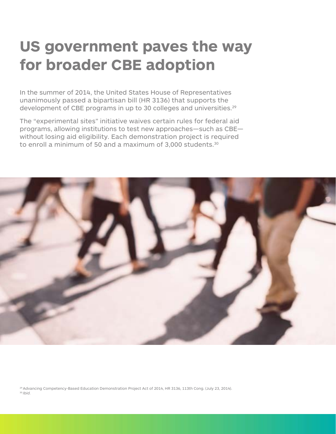### **US government paves the way for broader CBE adoption**

In the summer of 2014, the United States House of Representatives unanimously passed a bipartisan bill (HR 3136) that supports the development of CBE programs in up to 30 colleges and universities.<sup>29</sup>

The "experimental sites" initiative waives certain rules for federal aid programs, allowing institutions to test new approaches—such as CBE without losing aid eligibility. Each demonstration project is required to enroll a minimum of 50 and a maximum of 3,000 students.<sup>30</sup>



[29 Advancing Competency-Based Education Demonstration Project Act of 2014, HR 3136, 113th Cong. \(July 23, 2014\).](http://www.congress.gov/bill/113th-congress/house-bill/3136) <sup>30</sup>*Ibid.*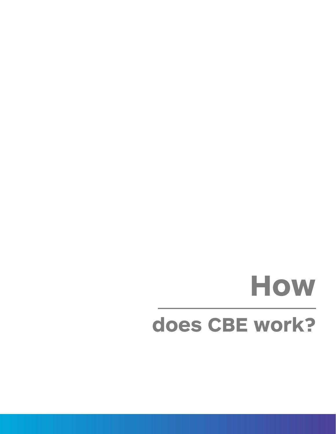## **does CBE work? How**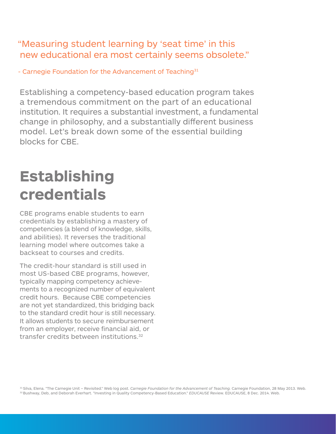#### "Measuring student learning by 'seat time' in this new educational era most certainly seems obsolete."

- Carnegie Foundation for the Advancement of Teaching<sup>31</sup>

Establishing a competency-based education program takes a tremendous commitment on the part of an educational institution. It requires a substantial investment, a fundamental change in philosophy, and a substantially different business model. Let's break down some of the essential building blocks for CBE.

### **Establishing credentials**

CBE programs enable students to earn credentials by establishing a mastery of competencies (a blend of knowledge, skills, and abilities). It reverses the traditional learning model where outcomes take a backseat to courses and credits.

The credit-hour standard is still used in most US-based CBE programs, however, typically mapping competency achievements to a recognized number of equivalent credit hours. Because CBE competencies are not yet standardized, this bridging back to the standard credit hour is still necessary. It allows students to secure reimbursement from an employer, receive financial aid, or transfer credits between institutions.32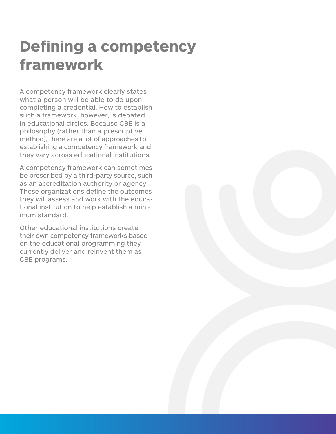### **Defining a competency framework**

A competency framework clearly states what a person will be able to do upon completing a credential. How to establish such a framework, however, is debated in educational circles. Because CBE is a philosophy (rather than a prescriptive method), there are a lot of approaches to establishing a competency framework and they vary across educational institutions.

A competency framework can sometimes be prescribed by a third-party source, such as an accreditation authority or agency. These organizations define the outcomes they will assess and work with the educational institution to help establish a minimum standard.

Other educational institutions create their own competency frameworks based on the educational programming they currently deliver and reinvent them as CBE programs.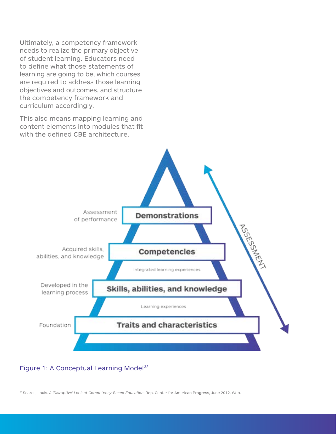Ultimately, a competency framework needs to realize the primary objective of student learning. Educators need to define what those statements of learning are going to be, which courses are required to address those learning objectives and outcomes, and structure the competency framework and curriculum accordingly.

This also means mapping learning and content elements into modules that fit with the defined CBE architecture.



#### Figure 1: A Conceptual Learning Model<sup>33</sup>

33 Soares, Louis. *A 'Disruptive' Look at Competency-Based Education*[. Rep. Center for American Progress, June 2012. Web.](https://www.americanprogress.org/wp-content/uploads/issues/2012/06/pdf/comp_based_education.pdf)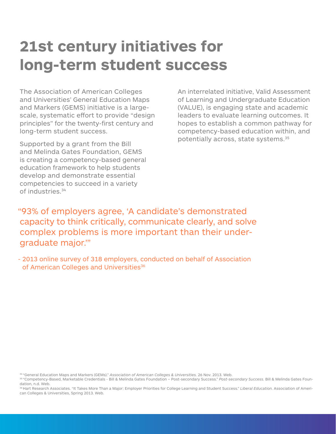### **21st century initiatives for long-term student success**

The Association of American Colleges and Universities' General Education Maps and Markers (GEMS) initiative is a largescale, systematic effort to provide "design principles" for the twenty-first century and long-term student success.

Supported by a grant from the Bill and Melinda Gates Foundation, GEMS is creating a competency-based general education framework to help students develop and demonstrate essential competencies to succeed in a variety of industries.34

An interrelated initiative, Valid Assessment of Learning and Undergraduate Education (VALUE), is engaging state and academic leaders to evaluate learning outcomes. It hopes to establish a common pathway for competency-based education within, and potentially across, state systems.35

"93% of employers agree, 'A candidate's demonstrated capacity to think critically, communicate clearly, and solve complex problems is more important than their undergraduate major.'"

- 2013 online survey of 318 employers, conducted on behalf of Association of American Colleges and Universities<sup>36</sup>

[36 Hart Research Associates. "It Takes More Than a Major: Employer Priorities for College Learning and Student Success."](http://www.aacu.org/publications-research/periodicals/it-takes-more-major-employer-priorities-college-learning-and) *Liberal Education.* Association of Ameri[can Colleges & Universities, Spring 2013. Web.](http://www.aacu.org/publications-research/periodicals/it-takes-more-major-employer-priorities-college-learning-and) 

<sup>&</sup>lt;sup>34</sup> "General Education Maps and Markers (GEMs)." Association of American Colleges & Universities. 26 Nov. 2013. Web.<br><sup>35</sup> "Competency-Based, Marketable Credentials - Bill & Melinda Gates Foundation – Post-secondary Succes [dation, n.d. Web.](http://postsecondary.gatesfoundation.org/areas-of-focus/flexible-paths-to-college-completion/competency-based-credentials/)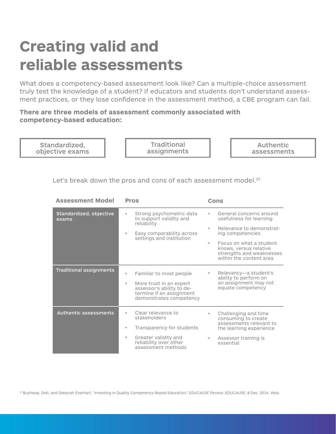### **Creating valid and reliable assessments**

What does a competency-based assessment look like? Can a multiple-choice assessment truly test the knowledge of a student? If educators and students don't understand assessment practices, or they lose confidence in the assessment method, a CBE program can fail.

**There are three models of assessment commonly associated with competency-based education:**



|                                |                                                                                                                                        | strengths and weaknesses<br>within the content area                                                                       |
|--------------------------------|----------------------------------------------------------------------------------------------------------------------------------------|---------------------------------------------------------------------------------------------------------------------------|
| <b>Traditional assignments</b> | Familiar to most people<br>More trust in an expert<br>assessor's ability to de-<br>termine if an assignment<br>demonstrates competency | Relevancy-a student's<br>ability to perform on<br>an assignment may not<br>equate competency                              |
| <b>Authentic assessments</b>   | Clear relevance to<br>stakeholders<br>Transparency for students<br>Greater validity and                                                | Challenging and time<br>consuming to create<br>assessments relevant to<br>the learning experience<br>Assessor training is |
|                                | reliability over other<br>assessment methods                                                                                           | essential                                                                                                                 |

[37 Bushway, Deb, and Deborah Everhart. "Investing in Quality Competency-Based Education."](http://www.educause.edu/ero/article/investing-quality-competency-based-education) *EDUCAUSE Review*. EDUCAUSE, 8 Dec. 2014. Web.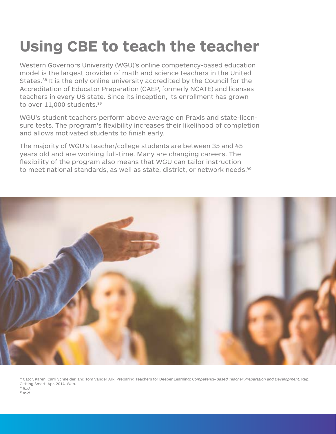### **Using CBE to teach the teacher**

Western Governors University (WGU)'s online competency-based education model is the largest provider of math and science teachers in the United States.38 It is the only online university accredited by the Council for the Accreditation of Educator Preparation (CAEP, formerly NCATE) and licenses teachers in every US state. Since its inception, its enrollment has grown to over 11,000 students.<sup>39</sup>

WGU's student teachers perform above average on Praxis and state-licensure tests. The program's flexibility increases their likelihood of completion and allows motivated students to finish early.

The majority of WGU's teacher/college students are between 35 and 45 years old and are working full-time. Many are changing careers. The flexibility of the program also means that WGU can tailor instruction to meet national standards, as well as state, district, or network needs.<sup>40</sup>



[38 Cator, Karen, Carri Schneider, and Tom Vander Ark. Preparing Teachers for Deeper Learning:](http://cdno4.gettingsmart.com/wp-content/uploads/2014/01/FINAL-Preparing-Teachers-for-Deeper-Learning-Paper.pdf) *Competency-Based Teacher Preparation and Development.* Rep. [Getting Smart, Apr. 2014. Web.](http://cdno4.gettingsmart.com/wp-content/uploads/2014/01/FINAL-Preparing-Teachers-for-Deeper-Learning-Paper.pdf) *39 Ibid. 40 Ibid.*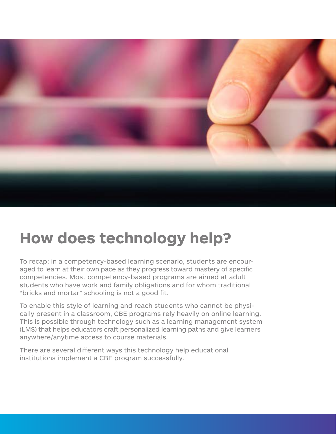

### **How does technology help?**

To recap: in a competency-based learning scenario, students are encouraged to learn at their own pace as they progress toward mastery of specific competencies. Most competency-based programs are aimed at adult students who have work and family obligations and for whom traditional "bricks and mortar" schooling is not a good fit.

To enable this style of learning and reach students who cannot be physically present in a classroom, CBE programs rely heavily on online learning. This is possible through technology such as a learning management system (LMS) that helps educators craft personalized learning paths and give learners anywhere/anytime access to course materials.

There are several different ways this technology help educational institutions implement a CBE program successfully.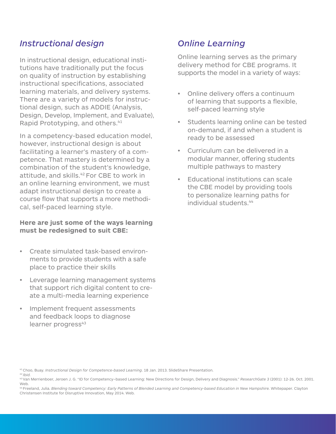#### *Instructional design*

In instructional design, educational institutions have traditionally put the focus on quality of instruction by establishing instructional specifications, associated learning materials, and delivery systems. There are a variety of models for instructional design, such as ADDIE (Analysis, Design, Develop, Implement, and Evaluate), Rapid Prototyping, and others.<sup>41</sup>

In a competency-based education model, however, instructional design is about facilitating a learner's mastery of a competence. That mastery is determined by a combination of the student's knowledge, attitude, and skills.<sup>42</sup> For CBE to work in an online learning environment, we must adapt instructional design to create a course flow that supports a more methodical, self-paced learning style.

#### **Here are just some of the ways learning must be redesigned to suit CBE:**

- **Create simulated task-based environ**ments to provide students with a safe place to practice their skills
- • Leverage learning management systems that support rich digital content to create a multi-media learning experience
- Implement frequent assessments and feedback loops to diagnose learner progress<sup>43</sup>

#### *Online Learning*

Online learning serves as the primary delivery method for CBE programs. It supports the model in a variety of ways:

- • Online delivery offers a continuum of learning that supports a flexible, self-paced learning style
- Students learning online can be tested on-demand, if and when a student is ready to be assessed
- Curriculum can be delivered in a modular manner, offering students multiple pathways to mastery
- Educational institutions can scale the CBE model by providing tools to personalize learning paths for individual students.44

<sup>41</sup> Choo, Buay. *[Instructional Design for Competence-based Learning](http://www.slideshare.net/buaychoo/instructional-design-for-competencebased-learning)*. 18 Jan. 2013. SlideShare Presentation. *42 Ibid.*

[<sup>43</sup> Van Merrienboer, Jeroen J. G. "ID for Competency−based Learning: New Directions for Design, Delivery and Diagnosis."](http://www.researchgate.net/publication/28090773_Instructional_Design_for_Competency-based_Learning) *ResearchGate 3* (2001): 12-26. Oct. 2001. [Web.](http://www.researchgate.net/publication/28090773_Instructional_Design_for_Competency-based_Learning) 

<sup>44</sup> Freeland, Julia. *[Blending toward Competency: Early Patterns of Blended Learning and Competency-based Education in New Hampshire.](http://www.christenseninstitute.org/publications/blending-toward-competency/)* Whitepaper. Clayton [Christensen Institute for Disruptive Innovation, May 2014. Web.](http://www.christenseninstitute.org/publications/blending-toward-competency/)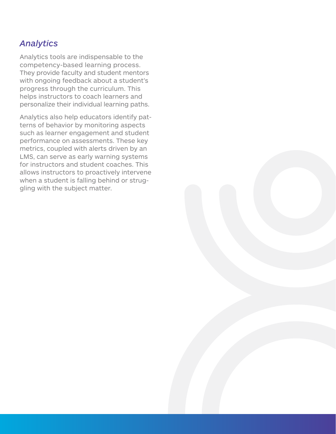#### *Analytics*

Analytics tools are indispensable to the competency-based learning process. They provide faculty and student mentors with ongoing feedback about a student's progress through the curriculum. This helps instructors to coach learners and personalize their individual learning paths.

Analytics also help educators identify patterns of behavior by monitoring aspects such as learner engagement and student performance on assessments. These key metrics, coupled with alerts driven by an LMS, can serve as early warning systems for instructors and student coaches. This allows instructors to proactively intervene when a student is falling behind or struggling with the subject matter.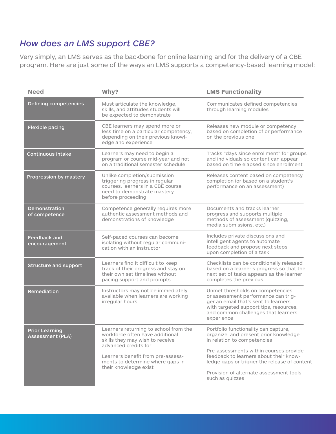#### *How does an LMS support CBE?*

Very simply, an LMS serves as the backbone for online learning and for the delivery of a CBE program. Here are just some of the ways an LMS supports a competency-based learning model:

| <b>Need</b>                                      | Why?                                                                                                                                                    | <b>LMS Functionality</b>                                                                                                                                                                                       |
|--------------------------------------------------|---------------------------------------------------------------------------------------------------------------------------------------------------------|----------------------------------------------------------------------------------------------------------------------------------------------------------------------------------------------------------------|
| Defining competencies                            | Must articulate the knowledge,<br>skills, and attitudes students will<br>be expected to demonstrate                                                     | Communicates defined competencies<br>through learning modules                                                                                                                                                  |
| <b>Flexible pacing</b>                           | CBE learners may spend more or<br>less time on a particular competency,<br>depending on their previous knowl-<br>edge and experience                    | Releases new module or competency<br>based on completion of or performance<br>on the previous one                                                                                                              |
| <b>Continuous intake</b>                         | Learners may need to begin a<br>program or course mid-year and not<br>on a traditional semester schedule                                                | Tracks "days since enrollment" for groups<br>and individuals so content can appear<br>based on time elapsed since enrollment                                                                                   |
| Progression by mastery                           | Unlike completion/submission<br>triggering progress in regular<br>courses, learners in a CBE course<br>need to demonstrate mastery<br>before proceeding | Releases content based on competency<br>completion (or based on a student's<br>performance on an assessment)                                                                                                   |
| <b>Demonstration</b><br>of competence            | Competence generally requires more<br>authentic assessment methods and<br>demonstrations of knowledge                                                   | Documents and tracks learner<br>progress and supports multiple<br>methods of assessment (quizzing,<br>media submissions, etc.)                                                                                 |
| <b>Feedback and</b><br>encouragement             | Self-paced courses can become<br>isolating without regular communi-<br>cation with an instructor                                                        | Includes private discussions and<br>intelligent agents to automate<br>feedback and propose next steps<br>upon completion of a task                                                                             |
| Structure and support                            | Learners find it difficult to keep<br>track of their progress and stay on<br>their own set timelines without<br>pacing support and prompts              | Checklists can be conditionally released<br>based on a learner's progress so that the<br>next set of tasks appears as the learner<br>completes the previous                                                    |
| Remediation                                      | Instructors may not be immediately<br>available when learners are working<br>irregular hours                                                            | Unmet thresholds on competencies<br>or assessment performance can trig-<br>ger an email that's sent to learners<br>with targeted support tips, resources,<br>and common challenges that learners<br>experience |
| <b>Prior Learning</b><br><b>Assessment (PLA)</b> | Learners returning to school from the<br>workforce often have additional<br>skills they may wish to receive<br>advanced credits for                     | Portfolio functionality can capture,<br>organize, and present prior knowledge<br>in relation to competencies                                                                                                   |
|                                                  | Learners benefit from pre-assess-<br>ments to determine where gaps in<br>their knowledge exist                                                          | Pre-assessments within courses provide<br>feedback to learners about their know-<br>ledge gaps or trigger the release of content                                                                               |
|                                                  |                                                                                                                                                         | Provision of alternate assessment tools<br>such as quizzes                                                                                                                                                     |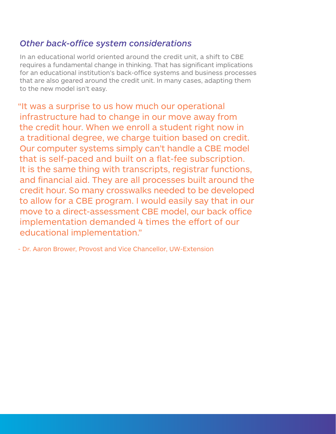#### *Other back-office system considerations*

In an educational world oriented around the credit unit, a shift to CBE requires a fundamental change in thinking. That has significant implications for an educational institution's back-office systems and business processes that are also geared around the credit unit. In many cases, adapting them to the new model isn't easy.

"It was a surprise to us how much our operational infrastructure had to change in our move away from the credit hour. When we enroll a student right now in a traditional degree, we charge tuition based on credit. Our computer systems simply can't handle a CBE model that is self-paced and built on a flat-fee subscription. It is the same thing with transcripts, registrar functions, and financial aid. They are all processes built around the credit hour. So many crosswalks needed to be developed to allow for a CBE program. I would easily say that in our move to a direct-assessment CBE model, our back office implementation demanded 4 times the effort of our educational implementation."

- Dr. Aaron Brower, Provost and Vice Chancellor, UW-Extension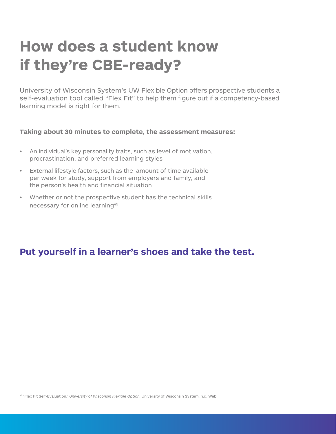### **How does a student know if they're CBE-ready?**

University of Wisconsin System's UW Flexible Option offers prospective students a self-evaluation tool called "Flex Fit" to help them figure out if a competency-based learning model is right for them.

#### **Taking about 30 minutes to complete, the assessment measures:**

- An individual's key personality traits, such as level of motivation, procrastination, and preferred learning styles
- • External lifestyle factors, such as the amount of time available per week for study, support from employers and family, and the person's health and financial situation
- • Whether or not the prospective student has the technical skills necessary for online learning<sup>45</sup>

#### **[Put yourself in a learner's shoes and take the test.](https://uwex.qualtrics.com/jfe/form/SV_07lfnTyZep6S4TP)**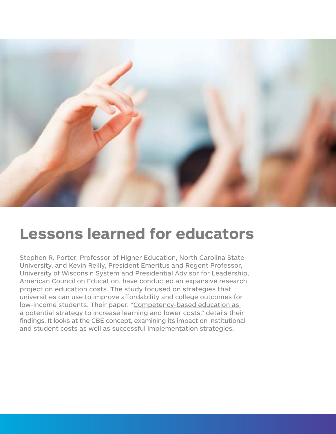

### **Lessons learned for educators**

Stephen R. Porter, Professor of Higher Education, North Carolina State University, and Kevin Reilly, President Emeritus and Regent Professor, University of Wisconsin System and Presidential Advisor for Leadership, American Council on Education, have conducted an expansive research project on education costs. The study focused on strategies that universities can use to improve affordability and college outcomes for low-income students. Their paper, ["Competency-based education as](http://hcmstrategists.com/maximizingresources/images/CBE_Paper.pdf)  [a potential strategy to increase learning and lower costs,](http://hcmstrategists.com/maximizingresources/images/CBE_Paper.pdf)" details their findings. It looks at the CBE concept, examining its impact on institutional and student costs as well as successful implementation strategies.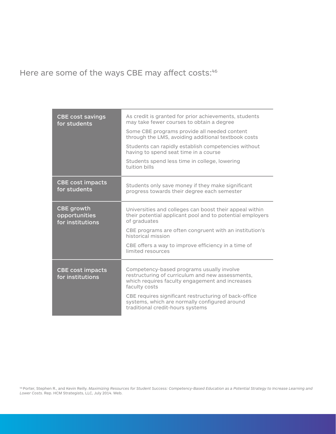Here are some of the ways CBE may affect costs:46

| <b>CBE</b> cost savings<br>for students                | As credit is granted for prior achievements, students<br>may take fewer courses to obtain a degree<br>Some CBE programs provide all needed content<br>through the LMS, avoiding additional textbook costs<br>Students can rapidly establish competencies without<br>having to spend seat time in a course<br>Students spend less time in college, lowering<br>tuition bills |
|--------------------------------------------------------|-----------------------------------------------------------------------------------------------------------------------------------------------------------------------------------------------------------------------------------------------------------------------------------------------------------------------------------------------------------------------------|
| <b>CBE cost impacts</b><br>for students                | Students only save money if they make significant<br>progress towards their degree each semester                                                                                                                                                                                                                                                                            |
| <b>CBE growth</b><br>opportunities<br>for institutions | Universities and colleges can boost their appeal within<br>their potential applicant pool and to potential employers<br>of graduates                                                                                                                                                                                                                                        |
|                                                        | CBE programs are often congruent with an institution's<br>historical mission                                                                                                                                                                                                                                                                                                |
|                                                        | CBE offers a way to improve efficiency in a time of<br>limited resources                                                                                                                                                                                                                                                                                                    |
| <b>CBE cost impacts</b><br>for institutions            | Competency-based programs usually involve<br>restructuring of curriculum and new assessments,<br>which requires faculty engagement and increases<br>faculty costs<br>CBE requires significant restructuring of back-office<br>systems, which are normally configured around<br>traditional credit-hours systems                                                             |

46 Porter, Stephen R., and Kevin Reilly. *[Maximizing Resources for Student Success: Competency-Based Education as a Potential Strategy to Increase Learning and](http://hcmstrategists.com/maximizingresources/images/CBE_Paper.pdf)  Lower Costs*[. Rep. HCM Strategists, LLC, July 2014. Web.](http://hcmstrategists.com/maximizingresources/images/CBE_Paper.pdf)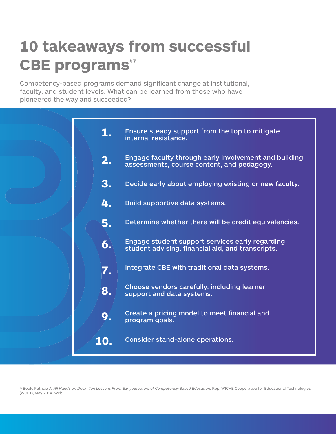### **10 takeaways from successful CBE programs**<sup>47</sup>

Competency-based programs demand significant change at institutional, faculty, and student levels. What can be learned from those who have pioneered the way and succeeded?

| 1.  | Ensure steady support from the top to mitigate<br>internal resistance.                               |
|-----|------------------------------------------------------------------------------------------------------|
| 2.  | Engage faculty through early involvement and building<br>assessments, course content, and pedagogy.  |
| 3.  | Decide early about employing existing or new faculty.                                                |
| 4.  | Build supportive data systems.                                                                       |
| 5.  | Determine whether there will be credit equivalencies.                                                |
| 6.  | Engage student support services early regarding<br>student advising, financial aid, and transcripts. |
| 7.  | Integrate CBE with traditional data systems.                                                         |
| 8.  | Choose vendors carefully, including learner<br>support and data systems.                             |
| 9.  | Create a pricing model to meet financial and<br>program goals.                                       |
| 10. | Consider stand-alone operations.                                                                     |

<sup>47</sup> Book, Patricia A. [All Hands on Deck: Ten Lessons From Early Adopters of Competency-Based Education.](http://wcet.wiche.edu/wcet/docs/summit/AllHandsOnDeck-Final.pdf) Rep. WICHE Cooperative for Educational Technologies [\(WCET\), May 2014. Web.](http://wcet.wiche.edu/wcet/docs/summit/AllHandsOnDeck-Final.pdf)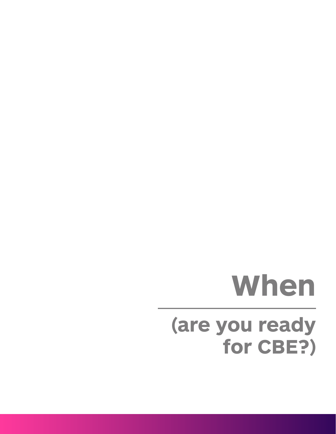## **(are you ready for CBE?) When**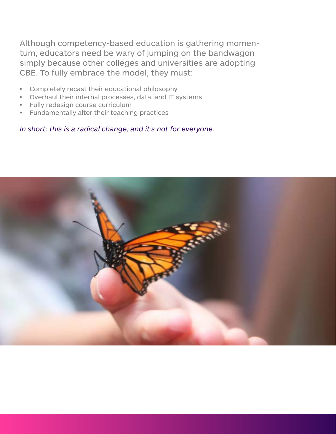Although competency-based education is gathering momentum, educators need be wary of jumping on the bandwagon simply because other colleges and universities are adopting CBE. To fully embrace the model, they must:

- • Completely recast their educational philosophy
- Overhaul their internal processes, data, and IT systems
- Fully redesign course curriculum
- • Fundamentally alter their teaching practices

*In short: this is a radical change, and it's not for everyone.* 

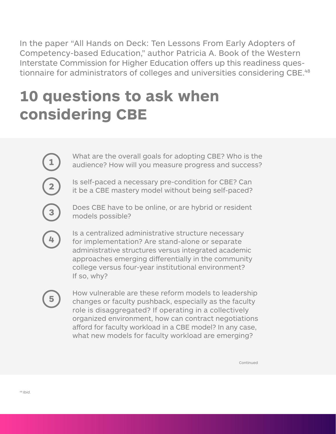In the paper "All Hands on Deck: Ten Lessons From Early Adopters of Competency-based Education," author Patricia A. Book of the Western Interstate Commission for Higher Education offers up this readiness questionnaire for administrators of colleges and universities considering CBE.<sup>48</sup>

### **10 questions to ask when considering CBE**

What are the overall goals for adopting CBE? Who is the audience? How will you measure progress and success?

Is self-paced a necessary pre-condition for CBE? Can it be a CBE mastery model without being self-paced?

Does CBE have to be online, or are hybrid or resident models possible?

Is a centralized administrative structure necessary for implementation? Are stand-alone or separate administrative structures versus integrated academic approaches emerging differentially in the community college versus four-year institutional environment? If so, why?

How vulnerable are these reform models to leadership changes or faculty pushback, especially as the faculty role is disaggregated? If operating in a collectively organized environment, how can contract negotiations afford for faculty workload in a CBE model? In any case, what new models for faculty workload are emerging?

Continued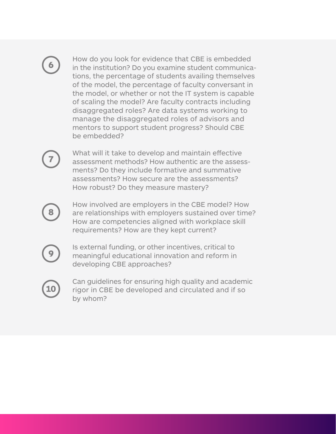How do you look for evidence that CBE is embedded in the institution? Do you examine student communications, the percentage of students availing themselves of the model, the percentage of faculty conversant in the model, or whether or not the IT system is capable of scaling the model? Are faculty contracts including disaggregated roles? Are data systems working to manage the disaggregated roles of advisors and mentors to support student progress? Should CBE be embedded?

What will it take to develop and maintain effective assessment methods? How authentic are the assessments? Do they include formative and summative assessments? How secure are the assessments? How robust? Do they measure mastery?

How involved are employers in the CBE model? How are relationships with employers sustained over time? How are competencies aligned with workplace skill requirements? How are they kept current?

Is external funding, or other incentives, critical to meaningful educational innovation and reform in developing CBE approaches?

Can guidelines for ensuring high quality and academic rigor in CBE be developed and circulated and if so by whom?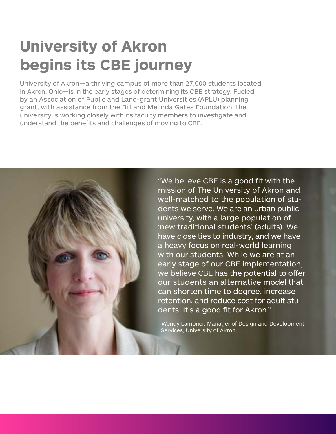### **University of Akron begins its CBE journey**

University of Akron—a thriving campus of more than 27,000 students located in Akron, Ohio—is in the early stages of determining its CBE strategy. Fueled by an Association of Public and Land-grant Universities (APLU) planning grant, with assistance from the Bill and Melinda Gates Foundation, the university is working closely with its faculty members to investigate and understand the benefits and challenges of moving to CBE.

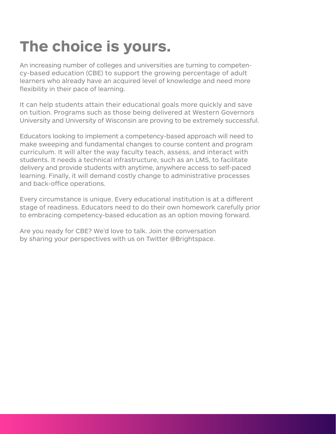An increasing number of colleges and universities are turning to competency-based education (CBE) to support the growing percentage of adult learners who already have an acquired level of knowledge and need more flexibility in their pace of learning.

It can help students attain their educational goals more quickly and save on tuition. Programs such as those being delivered at Western Governors University and University of Wisconsin are proving to be extremely successful.

Educators looking to implement a competency-based approach will need to make sweeping and fundamental changes to course content and program curriculum. It will alter the way faculty teach, assess, and interact with students. It needs a technical infrastructure, such as an LMS, to facilitate delivery and provide students with anytime, anywhere access to self-paced learning. Finally, it will demand costly change to administrative processes and back-office operations.

Every circumstance is unique. Every educational institution is at a different stage of readiness. Educators need to do their own homework carefully prior to embracing competency-based education as an option moving forward.

Are you ready for CBE? We'd love to talk. Join the conversation by sharing your perspectives with us on Twitter [@Brightspace](https://twitter.com/Brightspace).